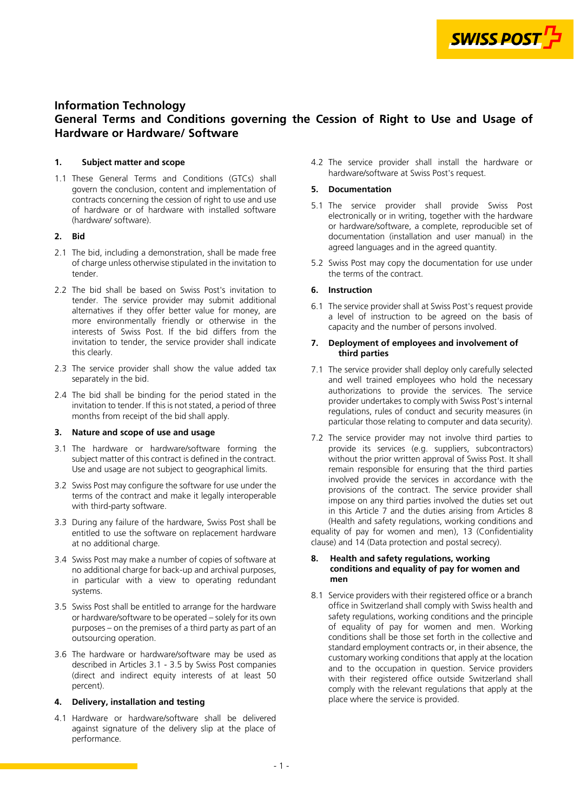

# **Information Technology General Terms and Conditions governing the Cession of Right to Use and Usage of Hardware or Hardware/ Software**

# **1. Subject matter and scope**

1.1 These General Terms and Conditions (GTCs) shall govern the conclusion, content and implementation of contracts concerning the cession of right to use and use of hardware or of hardware with installed software (hardware/ software).

# **2. Bid**

- 2.1 The bid, including a demonstration, shall be made free of charge unless otherwise stipulated in the invitation to tender.
- 2.2 The bid shall be based on Swiss Post's invitation to tender. The service provider may submit additional alternatives if they offer better value for money, are more environmentally friendly or otherwise in the interests of Swiss Post. If the bid differs from the invitation to tender, the service provider shall indicate this clearly.
- 2.3 The service provider shall show the value added tax separately in the bid.
- 2.4 The bid shall be binding for the period stated in the invitation to tender. If this is not stated, a period of three months from receipt of the bid shall apply.

## **3. Nature and scope of use and usage**

- 3.1 The hardware or hardware/software forming the subject matter of this contract is defined in the contract. Use and usage are not subject to geographical limits.
- 3.2 Swiss Post may configure the software for use under the terms of the contract and make it legally interoperable with third-party software.
- 3.3 During any failure of the hardware, Swiss Post shall be entitled to use the software on replacement hardware at no additional charge.
- 3.4 Swiss Post may make a number of copies of software at no additional charge for back-up and archival purposes, in particular with a view to operating redundant systems.
- 3.5 Swiss Post shall be entitled to arrange for the hardware or hardware/software to be operated – solely for its own purposes – on the premises of a third party as part of an outsourcing operation.
- 3.6 The hardware or hardware/software may be used as described in Articles 3.1 - 3.5 by Swiss Post companies (direct and indirect equity interests of at least 50 percent).

# **4. Delivery, installation and testing**

4.1 Hardware or hardware/software shall be delivered against signature of the delivery slip at the place of performance.

4.2 The service provider shall install the hardware or hardware/software at Swiss Post's request.

# **5. Documentation**

- 5.1 The service provider shall provide Swiss Post electronically or in writing, together with the hardware or hardware/software, a complete, reproducible set of documentation (installation and user manual) in the agreed languages and in the agreed quantity.
- 5.2 Swiss Post may copy the documentation for use under the terms of the contract.

# **6. Instruction**

6.1 The service provider shall at Swiss Post's request provide a level of instruction to be agreed on the basis of capacity and the number of persons involved.

#### **7. Deployment of employees and involvement of third parties**

- 7.1 The service provider shall deploy only carefully selected and well trained employees who hold the necessary authorizations to provide the services. The service provider undertakes to comply with Swiss Post's internal regulations, rules of conduct and security measures (in particular those relating to computer and data security).
- 7.2 The service provider may not involve third parties to provide its services (e.g. suppliers, subcontractors) without the prior written approval of Swiss Post. It shall remain responsible for ensuring that the third parties involved provide the services in accordance with the provisions of the contract. The service provider shall impose on any third parties involved the duties set out in this Article 7 and the duties arising from Articles 8 (Health and safety regulations, working conditions and equality of pay for women and men), [13 \(Confidentiality](#page-1-0)  [clause\)](#page-1-0) and [14 \(Data protection and postal secrecy\).](#page-1-0)

## **8. Health and safety regulations, working conditions and equality of pay for women and men**

8.1 Service providers with their registered office or a branch office in Switzerland shall comply with Swiss health and safety regulations, working conditions and the principle of equality of pay for women and men. Working conditions shall be those set forth in the collective and standard employment contracts or, in their absence, the customary working conditions that apply at the location and to the occupation in question. Service providers with their registered office outside Switzerland shall comply with the relevant regulations that apply at the place where the service is provided.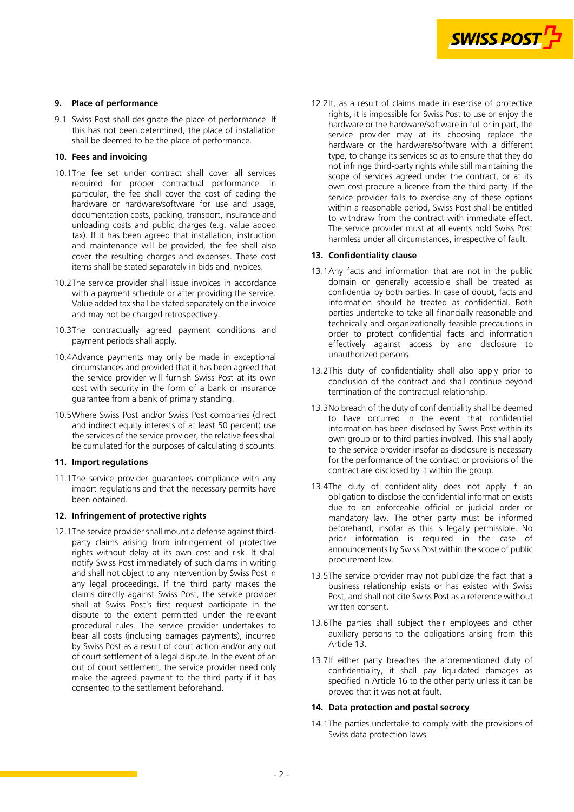

### <span id="page-1-0"></span>**9. Place of performance**

9.1 Swiss Post shall designate the place of performance. If this has not been determined, the place of installation shall be deemed to be the place of performance.

### **10. Fees and invoicing**

- 10.1The fee set under contract shall cover all services required for proper contractual performance. In particular, the fee shall cover the cost of ceding the hardware or hardware/software for use and usage, documentation costs, packing, transport, insurance and unloading costs and public charges (e.g. value added tax). If it has been agreed that installation, instruction and maintenance will be provided, the fee shall also cover the resulting charges and expenses. These cost items shall be stated separately in bids and invoices.
- 10.2The service provider shall issue invoices in accordance with a payment schedule or after providing the service. Value added tax shall be stated separately on the invoice and may not be charged retrospectively.
- 10.3The contractually agreed payment conditions and payment periods shall apply.
- 10.4Advance payments may only be made in exceptional circumstances and provided that it has been agreed that the service provider will furnish Swiss Post at its own cost with security in the form of a bank or insurance guarantee from a bank of primary standing.
- 10.5Where Swiss Post and/or Swiss Post companies (direct and indirect equity interests of at least 50 percent) use the services of the service provider, the relative fees shall be cumulated for the purposes of calculating discounts.

# **11. Import regulations**

11.1The service provider guarantees compliance with any import regulations and that the necessary permits have been obtained.

#### **12. Infringement of protective rights**

12.1The service provider shall mount a defense against thirdparty claims arising from infringement of protective rights without delay at its own cost and risk. It shall notify Swiss Post immediately of such claims in writing and shall not object to any intervention by Swiss Post in any legal proceedings. If the third party makes the claims directly against Swiss Post, the service provider shall at Swiss Post's first request participate in the dispute to the extent permitted under the relevant procedural rules. The service provider undertakes to bear all costs (including damages payments), incurred by Swiss Post as a result of court action and/or any out of court settlement of a legal dispute. In the event of an out of court settlement, the service provider need only make the agreed payment to the third party if it has consented to the settlement beforehand.

12.2If, as a result of claims made in exercise of protective rights, it is impossible for Swiss Post to use or enjoy the hardware or the hardware/software in full or in part, the service provider may at its choosing replace the hardware or the hardware/software with a different type, to change its services so as to ensure that they do not infringe third-party rights while still maintaining the scope of services agreed under the contract, or at its own cost procure a licence from the third party. If the service provider fails to exercise any of these options within a reasonable period, Swiss Post shall be entitled to withdraw from the contract with immediate effect. The service provider must at all events hold Swiss Post harmless under all circumstances, irrespective of fault.

#### **13. Confidentiality clause**

- 13.1Any facts and information that are not in the public domain or generally accessible shall be treated as confidential by both parties. In case of doubt, facts and information should be treated as confidential. Both parties undertake to take all financially reasonable and technically and organizationally feasible precautions in order to protect confidential facts and information effectively against access by and disclosure to unauthorized persons.
- 13.2This duty of confidentiality shall also apply prior to conclusion of the contract and shall continue beyond termination of the contractual relationship.
- 13.3No breach of the duty of confidentiality shall be deemed to have occurred in the event that confidential information has been disclosed by Swiss Post within its own group or to third parties involved. This shall apply to the service provider insofar as disclosure is necessary for the performance of the contract or provisions of the contract are disclosed by it within the group.
- 13.4The duty of confidentiality does not apply if an obligation to disclose the confidential information exists due to an enforceable official or judicial order or mandatory law. The other party must be informed beforehand, insofar as this is legally permissible. No prior information is required in the case of announcements by Swiss Post within the scope of public procurement law.
- 13.5The service provider may not publicize the fact that a business relationship exists or has existed with Swiss Post, and shall not cite Swiss Post as a reference without written consent.
- 13.6The parties shall subject their employees and other auxiliary persons to the obligations arising from this Article 13.
- 13.7If either party breaches the aforementioned duty of confidentiality, it shall pay liquidated damages as specified in Article [16](#page-2-0) to the other party unless it can be proved that it was not at fault.

#### **14. Data protection and postal secrecy**

14.1The parties undertake to comply with the provisions of Swiss data protection laws.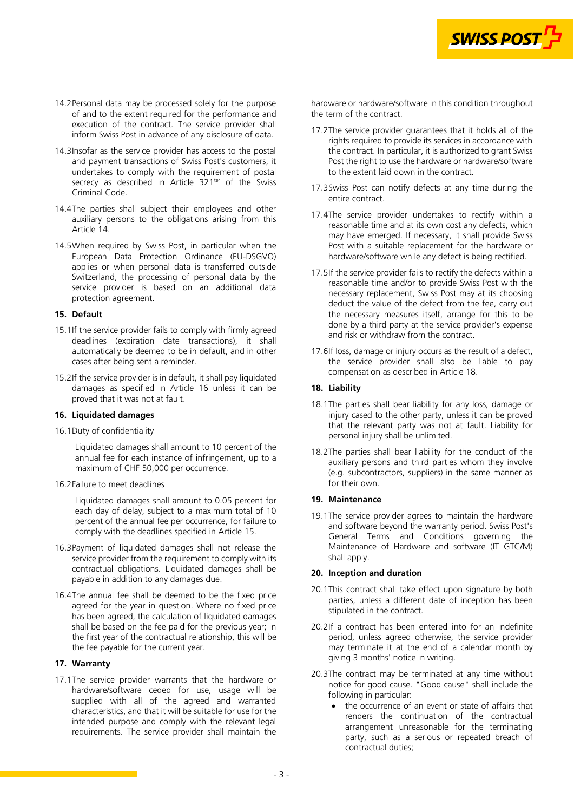

- <span id="page-2-0"></span>14.2Personal data may be processed solely for the purpose of and to the extent required for the performance and execution of the contract. The service provider shall inform Swiss Post in advance of any disclosure of data.
- 14.3Insofar as the service provider has access to the postal and payment transactions of Swiss Post's customers, it undertakes to comply with the requirement of postal secrecy as described in Article 321<sup>ter</sup> of the Swiss Criminal Code.
- 14.4The parties shall subject their employees and other auxiliary persons to the obligations arising from this Article [14.](#page-1-0)
- 14.5When required by Swiss Post, in particular when the European Data Protection Ordinance (EU-DSGVO) applies or when personal data is transferred outside Switzerland, the processing of personal data by the service provider is based on an additional data protection agreement.

# **15. Default**

- 15.1If the service provider fails to comply with firmly agreed deadlines (expiration date transactions), it shall automatically be deemed to be in default, and in other cases after being sent a reminder.
- 15.2If the service provider is in default, it shall pay liquidated damages as specified in Article 16 unless it can be proved that it was not at fault.

#### **16. Liquidated damages**

16.1Duty of confidentiality

Liquidated damages shall amount to 10 percent of the annual fee for each instance of infringement, up to a maximum of CHF 50,000 per occurrence.

16.2Failure to meet deadlines

Liquidated damages shall amount to 0.05 percent for each day of delay, subject to a maximum total of 10 percent of the annual fee per occurrence, for failure to comply with the deadlines specified in Article 15.

- 16.3Payment of liquidated damages shall not release the service provider from the requirement to comply with its contractual obligations. Liquidated damages shall be payable in addition to any damages due.
- 16.4The annual fee shall be deemed to be the fixed price agreed for the year in question. Where no fixed price has been agreed, the calculation of liquidated damages shall be based on the fee paid for the previous year; in the first year of the contractual relationship, this will be the fee payable for the current year.

# **17. Warranty**

17.1The service provider warrants that the hardware or hardware/software ceded for use, usage will be supplied with all of the agreed and warranted characteristics, and that it will be suitable for use for the intended purpose and comply with the relevant legal requirements. The service provider shall maintain the

hardware or hardware/software in this condition throughout the term of the contract.

- 17.2The service provider guarantees that it holds all of the rights required to provide its services in accordance with the contract. In particular, it is authorized to grant Swiss Post the right to use the hardware or hardware/software to the extent laid down in the contract.
- 17.3Swiss Post can notify defects at any time during the entire contract.
- 17.4The service provider undertakes to rectify within a reasonable time and at its own cost any defects, which may have emerged. If necessary, it shall provide Swiss Post with a suitable replacement for the hardware or hardware/software while any defect is being rectified.
- 17.5If the service provider fails to rectify the defects within a reasonable time and/or to provide Swiss Post with the necessary replacement, Swiss Post may at its choosing deduct the value of the defect from the fee, carry out the necessary measures itself, arrange for this to be done by a third party at the service provider's expense and risk or withdraw from the contract.
- 17.6If loss, damage or injury occurs as the result of a defect, the service provider shall also be liable to pay compensation as described in Article 18.

#### **18. Liability**

- 18.1The parties shall bear liability for any loss, damage or injury cased to the other party, unless it can be proved that the relevant party was not at fault. Liability for personal injury shall be unlimited.
- 18.2The parties shall bear liability for the conduct of the auxiliary persons and third parties whom they involve (e.g. subcontractors, suppliers) in the same manner as for their own.

### **19. Maintenance**

19.1The service provider agrees to maintain the hardware and software beyond the warranty period. Swiss Post's General Terms and Conditions governing the Maintenance of Hardware and software (IT GTC/M) shall apply.

#### **20. Inception and duration**

- 20.1This contract shall take effect upon signature by both parties, unless a different date of inception has been stipulated in the contract.
- 20.2If a contract has been entered into for an indefinite period, unless agreed otherwise, the service provider may terminate it at the end of a calendar month by giving 3 months' notice in writing.
- 20.3The contract may be terminated at any time without notice for good cause. "Good cause" shall include the following in particular:
	- the occurrence of an event or state of affairs that renders the continuation of the contractual arrangement unreasonable for the terminating party, such as a serious or repeated breach of contractual duties;